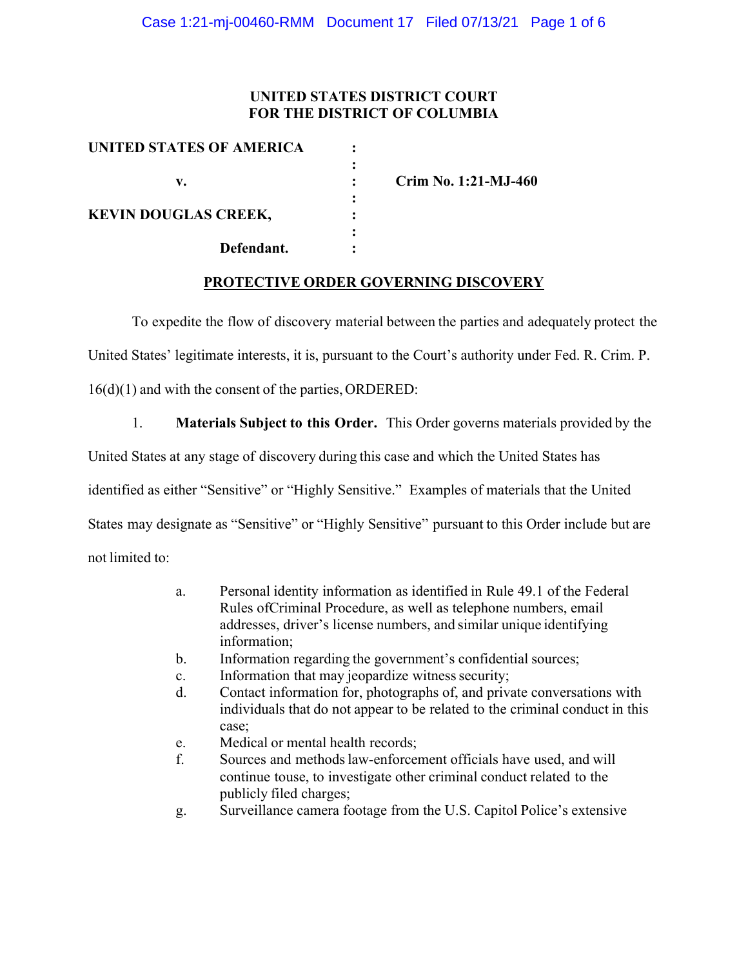## **UNITED STATES DISTRICT COURT FOR THE DISTRICT OF COLUMBIA**

| UNITED STATES OF AMERICA    |   |                      |
|-----------------------------|---|----------------------|
|                             |   |                      |
| v.                          |   | Crim No. 1:21-MJ-460 |
|                             | ٠ |                      |
| <b>KEVIN DOUGLAS CREEK,</b> |   |                      |
|                             |   |                      |
| Defendant.                  |   |                      |
|                             |   |                      |

### **PROTECTIVE ORDER GOVERNING DISCOVERY**

To expedite the flow of discovery material between the parties and adequately protect the

United States' legitimate interests, it is, pursuant to the Court's authority under Fed. R. Crim. P.

16(d)(1) and with the consent of the parties, ORDERED:

1. **Materials Subject to this Order.** This Order governs materials provided by the

United States at any stage of discovery during this case and which the United States has

identified as either "Sensitive" or "Highly Sensitive." Examples of materials that the United

States may designate as "Sensitive" or "Highly Sensitive" pursuant to this Order include but are

not limited to:

- a. Personal identity information as identified in Rule 49.1 of the Federal Rules ofCriminal Procedure, as well as telephone numbers, email addresses, driver's license numbers, and similar unique identifying information;
- b. Information regarding the government's confidential sources;
- c. Information that may jeopardize witness security;
- d. Contact information for, photographs of, and private conversations with individuals that do not appear to be related to the criminal conduct in this case;
- e. Medical or mental health records;
- f. Sources and methodslaw-enforcement officials have used, and will continue touse, to investigate other criminal conduct related to the publicly filed charges;
- g. Surveillance camera footage from the U.S. Capitol Police's extensive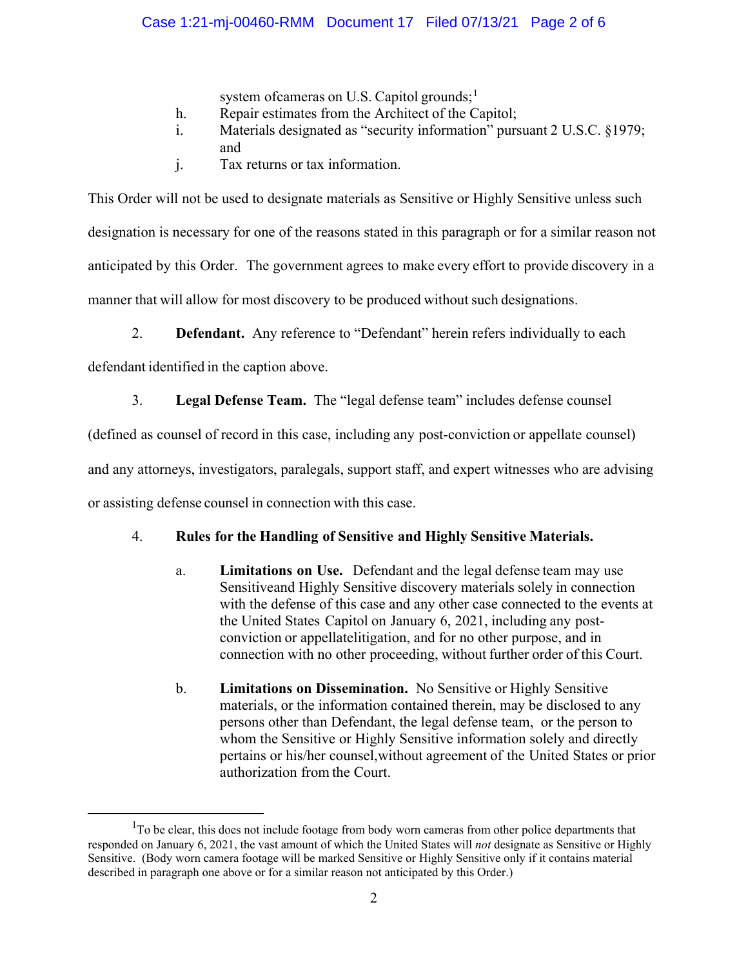## Case 1:21-mj-00460-RMM Document 17 Filed 07/13/21 Page 2 of 6

system ofcameras on U.S. Capitol grounds:<sup>1</sup>

- h. Repair estimates from the Architect of the Capitol;
- i. Materials designated as "security information" pursuant 2 U.S.C. §1979; and
- j. Tax returns or tax information.

This Order will not be used to designate materials as Sensitive or Highly Sensitive unless such designation is necessary for one of the reasons stated in this paragraph or for a similar reason not anticipated by this Order. The government agrees to make every effort to provide discovery in a manner that will allow for most discovery to be produced without such designations.

2. **Defendant.** Any reference to "Defendant" herein refers individually to each

defendant identified in the caption above.

3. **Legal Defense Team.** The "legal defense team" includes defense counsel

(defined as counsel of record in this case, including any post-conviction or appellate counsel)

and any attorneys, investigators, paralegals, support staff, and expert witnesses who are advising

or assisting defense counsel in connection with this case.

### 4. **Rules for the Handling of Sensitive and Highly Sensitive Materials.**

- a. **Limitations on Use.** Defendant and the legal defense team may use Sensitiveand Highly Sensitive discovery materials solely in connection with the defense of this case and any other case connected to the events at the United States Capitol on January 6, 2021, including any postconviction or appellatelitigation, and for no other purpose, and in connection with no other proceeding, without further order of this Court.
- b. **Limitations on Dissemination.** No Sensitive or Highly Sensitive materials, or the information contained therein, may be disclosed to any persons other than Defendant, the legal defense team, or the person to whom the Sensitive or Highly Sensitive information solely and directly pertains or his/her counsel,without agreement of the United States or prior authorization from the Court.

 $1$ To be clear, this does not include footage from body worn cameras from other police departments that responded on January 6, 2021, the vast amount of which the United States will *not* designate as Sensitive or Highly Sensitive. (Body worn camera footage will be marked Sensitive or Highly Sensitive only if it contains material described in paragraph one above or for a similar reason not anticipated by this Order.)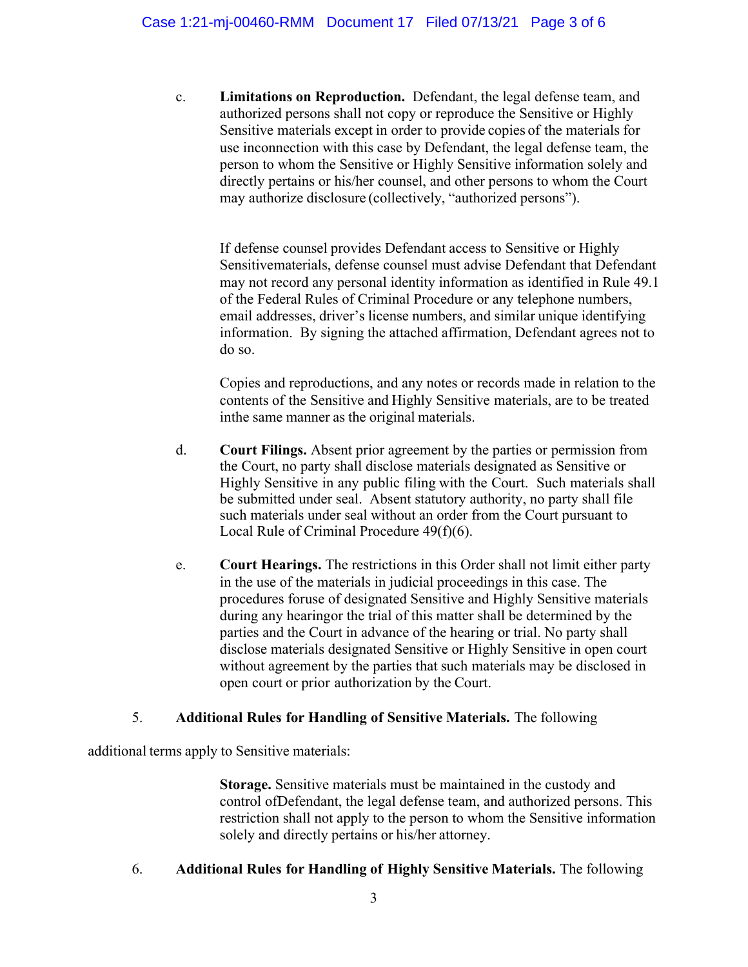c. **Limitations on Reproduction.** Defendant, the legal defense team, and authorized persons shall not copy or reproduce the Sensitive or Highly Sensitive materials except in order to provide copies of the materials for use inconnection with this case by Defendant, the legal defense team, the person to whom the Sensitive or Highly Sensitive information solely and directly pertains or his/her counsel, and other persons to whom the Court may authorize disclosure (collectively, "authorized persons").

If defense counsel provides Defendant access to Sensitive or Highly Sensitivematerials, defense counsel must advise Defendant that Defendant may not record any personal identity information as identified in Rule 49.1 of the Federal Rules of Criminal Procedure or any telephone numbers, email addresses, driver's license numbers, and similar unique identifying information. By signing the attached affirmation, Defendant agrees not to do so.

Copies and reproductions, and any notes or records made in relation to the contents of the Sensitive and Highly Sensitive materials, are to be treated in the same manner as the original materials.

- d. **Court Filings.** Absent prior agreement by the parties or permission from the Court, no party shall disclose materials designated as Sensitive or Highly Sensitive in any public filing with the Court. Such materials shall be submitted under seal. Absent statutory authority, no party shall file such materials under seal without an order from the Court pursuant to Local Rule of Criminal Procedure 49(f)(6).
- e. **Court Hearings.** The restrictions in this Order shall not limit either party in the use of the materials in judicial proceedings in this case. The procedures for use of designated Sensitive and Highly Sensitive materials during any hearingor the trial of this matter shall be determined by the parties and the Court in advance of the hearing or trial. No party shall disclose materials designated Sensitive or Highly Sensitive in open court without agreement by the parties that such materials may be disclosed in open court or prior authorization by the Court.

# 5. **Additional Rules for Handling of Sensitive Materials.** The following

additional terms apply to Sensitive materials:

**Storage.** Sensitive materials must be maintained in the custody and control of Defendant, the legal defense team, and authorized persons. This restriction shall not apply to the person to whom the Sensitive information solely and directly pertains or his/her attorney.

# 6. **Additional Rules for Handling of Highly Sensitive Materials.** The following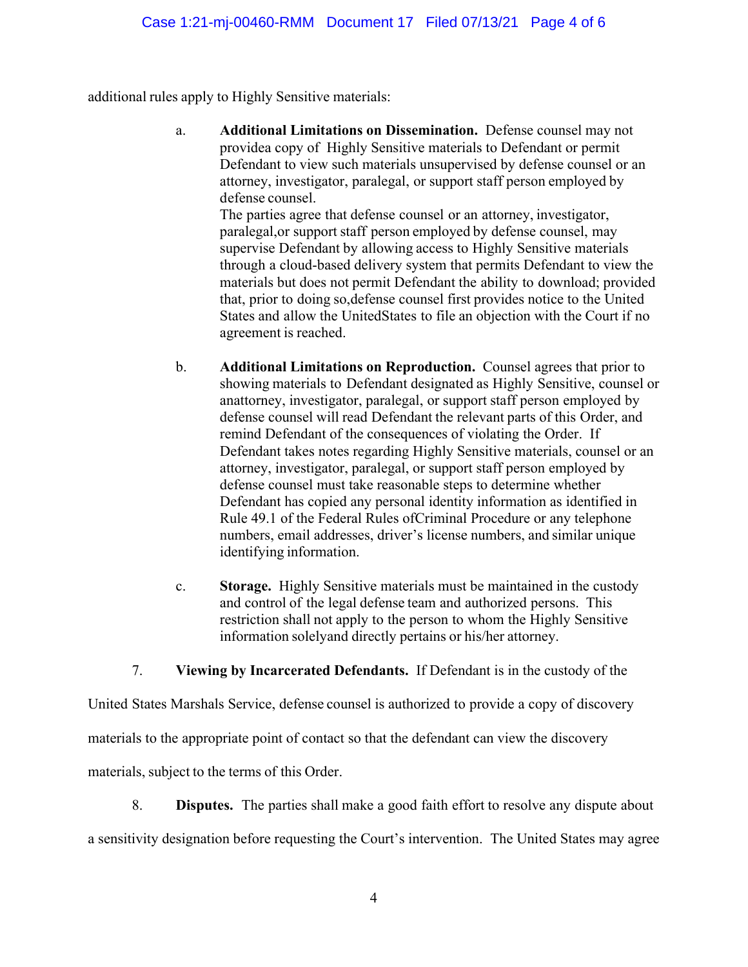additional rules apply to Highly Sensitive materials:

a. **Additional Limitations on Dissemination.** Defense counsel may not providea copy of Highly Sensitive materials to Defendant or permit Defendant to view such materials unsupervised by defense counsel or an attorney, investigator, paralegal, or support staff person employed by defense counsel.

The parties agree that defense counsel or an attorney, investigator, paralegal,or support staff person employed by defense counsel, may supervise Defendant by allowing access to Highly Sensitive materials through a cloud-based delivery system that permits Defendant to view the materials but does not permit Defendant the ability to download; provided that, prior to doing so,defense counsel first provides notice to the United States and allow the UnitedStates to file an objection with the Court if no agreement is reached.

- b. **Additional Limitations on Reproduction.** Counsel agrees that prior to showing materials to Defendant designated as Highly Sensitive, counsel or anattorney, investigator, paralegal, or support staff person employed by defense counsel will read Defendant the relevant parts of this Order, and remind Defendant of the consequences of violating the Order. If Defendant takes notes regarding Highly Sensitive materials, counsel or an attorney, investigator, paralegal, or support staff person employed by defense counsel must take reasonable steps to determine whether Defendant has copied any personal identity information as identified in Rule 49.1 of the Federal Rules ofCriminal Procedure or any telephone numbers, email addresses, driver's license numbers, and similar unique identifying information.
- c. **Storage.** Highly Sensitive materials must be maintained in the custody and control of the legal defense team and authorized persons. This restriction shall not apply to the person to whom the Highly Sensitive information solelyand directly pertains or his/her attorney.

7. **Viewing by Incarcerated Defendants.** If Defendant is in the custody of the

United States Marshals Service, defense counsel is authorized to provide a copy of discovery

materials to the appropriate point of contact so that the defendant can view the discovery

materials, subject to the terms of this Order.

8. **Disputes.** The parties shall make a good faith effort to resolve any dispute about a sensitivity designation before requesting the Court's intervention. The United States may agree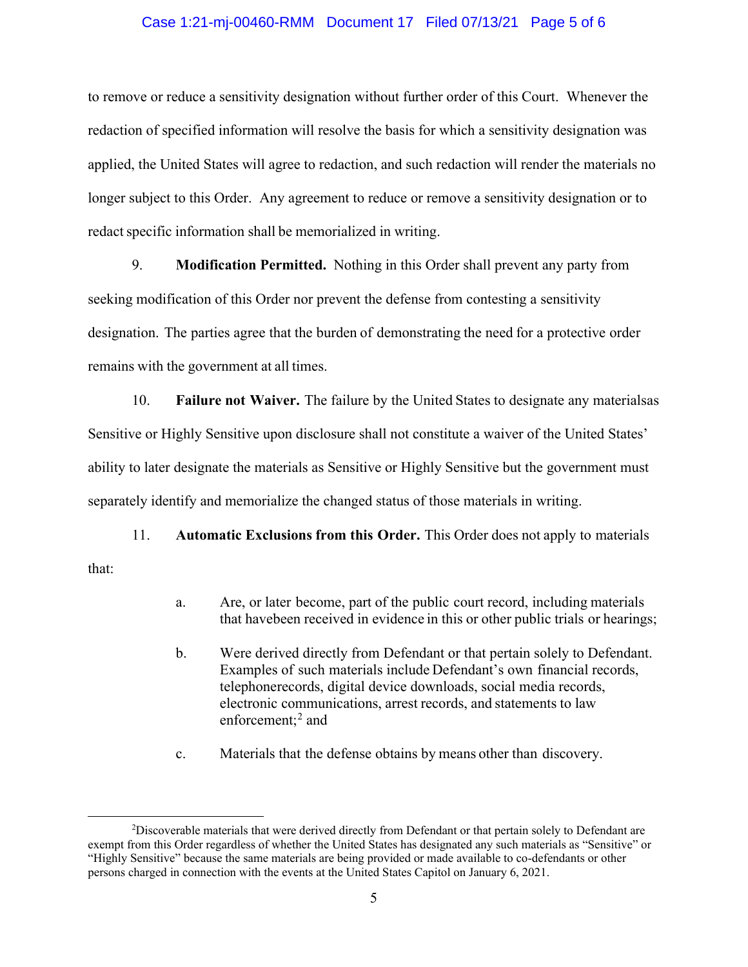#### Case 1:21-mj-00460-RMM Document 17 Filed 07/13/21 Page 5 of 6

to remove or reduce a sensitivity designation without further order of this Court. Whenever the redaction of specified information will resolve the basis for which a sensitivity designation was applied, the United States will agree to redaction, and such redaction will render the materials no longer subject to this Order. Any agreement to reduce or remove a sensitivity designation or to redact specific information shall be memorialized in writing.

9. **Modification Permitted.** Nothing in this Order shall prevent any party from seeking modification of this Order nor prevent the defense from contesting a sensitivity designation. The parties agree that the burden of demonstrating the need for a protective order remains with the government at all times.

10. **Failure not Waiver.** The failure by the United States to designate any materialsas Sensitive or Highly Sensitive upon disclosure shall not constitute a waiver of the United States' ability to later designate the materials as Sensitive or Highly Sensitive but the government must separately identify and memorialize the changed status of those materials in writing.

11. **Automatic Exclusions from this Order.** This Order does not apply to materials that:

- a. Are, or later become, part of the public court record, including materials that havebeen received in evidence in this or other public trials or hearings;
- b. Were derived directly from Defendant or that pertain solely to Defendant. Examples of such materials include Defendant's own financial records, telephone records, digital device downloads, social media records, electronic communications, arrest records, and statements to law enforcement;<sup>2</sup> and
- c. Materials that the defense obtains by means other than discovery.

<sup>&</sup>lt;sup>2</sup>Discoverable materials that were derived directly from Defendant or that pertain solely to Defendant are exempt from this Order regardless of whether the United States has designated any such materials as "Sensitive" or "Highly Sensitive" because the same materials are being provided or made available to co-defendants or other persons charged in connection with the events at the United States Capitol on January 6, 2021.